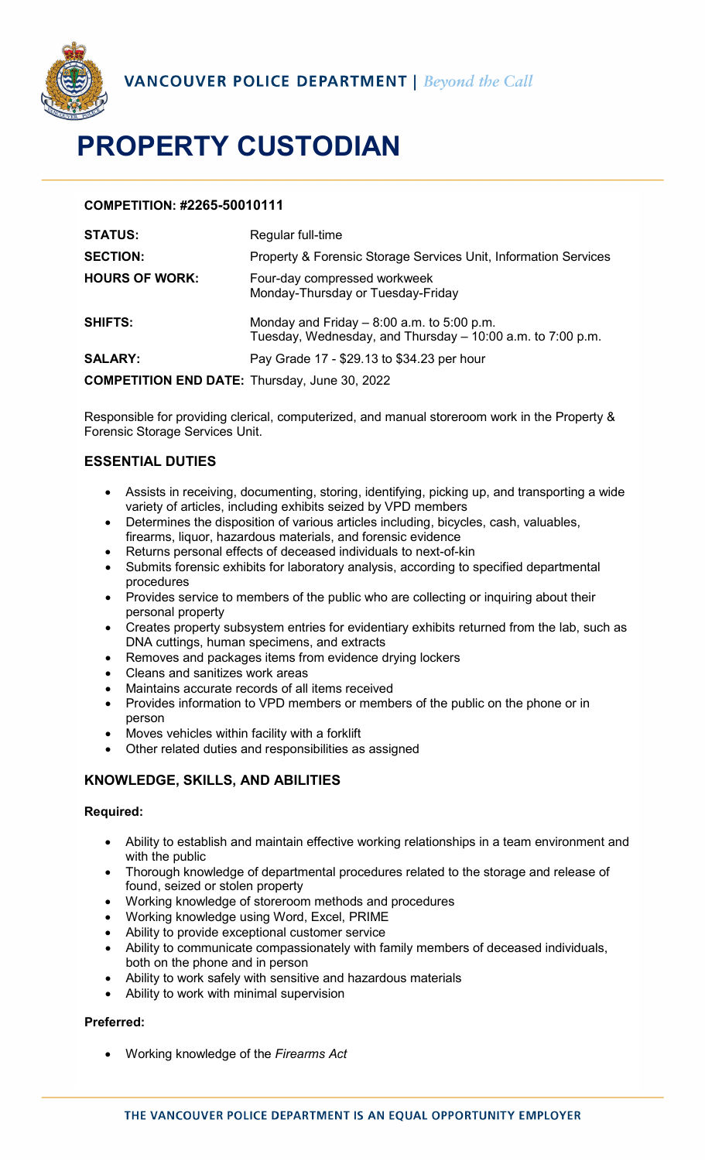

# **PROPERTY CUSTODIAN**

# **COMPETITION: #2265-50010111**

| <b>STATUS:</b>                                       | Regular full-time                                                                                         |
|------------------------------------------------------|-----------------------------------------------------------------------------------------------------------|
| <b>SECTION:</b>                                      | Property & Forensic Storage Services Unit, Information Services                                           |
| <b>HOURS OF WORK:</b>                                | Four-day compressed workweek<br>Monday-Thursday or Tuesday-Friday                                         |
| <b>SHIFTS:</b>                                       | Monday and Friday $-8:00$ a.m. to 5:00 p.m.<br>Tuesday, Wednesday, and Thursday – 10:00 a.m. to 7:00 p.m. |
| <b>SALARY:</b>                                       | Pay Grade 17 - \$29.13 to \$34.23 per hour                                                                |
| <b>COMPETITION END DATE:</b> Thursday, June 30, 2022 |                                                                                                           |

Responsible for providing clerical, computerized, and manual storeroom work in the Property & Forensic Storage Services Unit.

# **ESSENTIAL DUTIES**

- Assists in receiving, documenting, storing, identifying, picking up, and transporting a wide variety of articles, including exhibits seized by VPD members
- Determines the disposition of various articles including, bicycles, cash, valuables, firearms, liquor, hazardous materials, and forensic evidence
- Returns personal effects of deceased individuals to next-of-kin
- Submits forensic exhibits for laboratory analysis, according to specified departmental procedures
- Provides service to members of the public who are collecting or inquiring about their personal property
- Creates property subsystem entries for evidentiary exhibits returned from the lab, such as DNA cuttings, human specimens, and extracts
- Removes and packages items from evidence drying lockers
- Cleans and sanitizes work areas
- Maintains accurate records of all items received
- Provides information to VPD members or members of the public on the phone or in person
- Moves vehicles within facility with a forklift
- Other related duties and responsibilities as assigned

# **KNOWLEDGE, SKILLS, AND ABILITIES**

#### **Required:**

- Ability to establish and maintain effective working relationships in a team environment and with the public
- Thorough knowledge of departmental procedures related to the storage and release of found, seized or stolen property
- Working knowledge of storeroom methods and procedures
- Working knowledge using Word, Excel, PRIME
- Ability to provide exceptional customer service
- Ability to communicate compassionately with family members of deceased individuals, both on the phone and in person
- Ability to work safely with sensitive and hazardous materials
- Ability to work with minimal supervision

## **Preferred:**

• Working knowledge of the *Firearms Act*